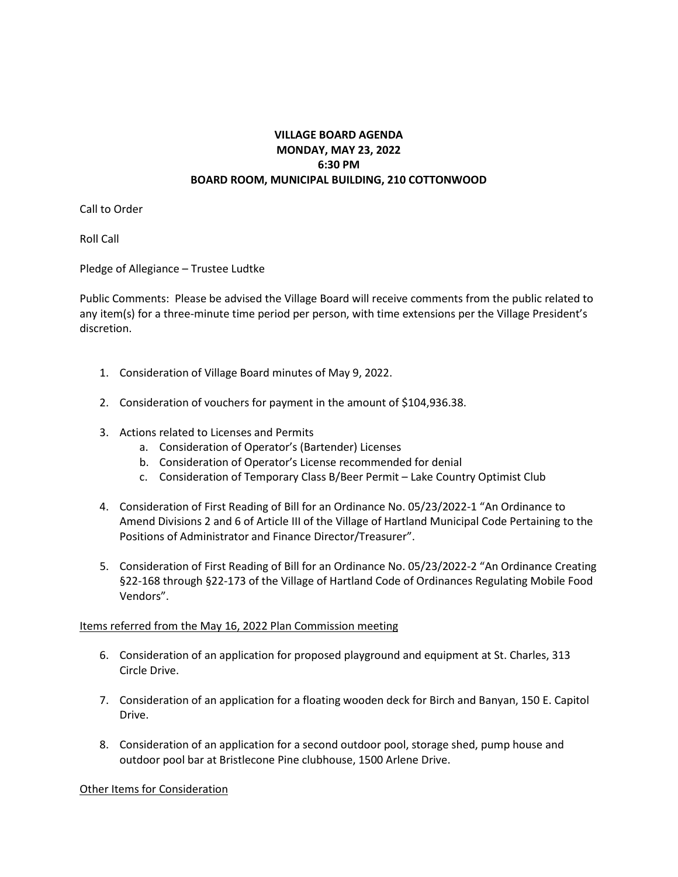## **VILLAGE BOARD AGENDA MONDAY, MAY 23, 2022 6:30 PM BOARD ROOM, MUNICIPAL BUILDING, 210 COTTONWOOD**

Call to Order

Roll Call

Pledge of Allegiance – Trustee Ludtke

Public Comments: Please be advised the Village Board will receive comments from the public related to any item(s) for a three-minute time period per person, with time extensions per the Village President's discretion.

- 1. Consideration of Village Board minutes of May 9, 2022.
- 2. Consideration of vouchers for payment in the amount of \$104,936.38.
- 3. Actions related to Licenses and Permits
	- a. Consideration of Operator's (Bartender) Licenses
	- b. Consideration of Operator's License recommended for denial
	- c. Consideration of Temporary Class B/Beer Permit Lake Country Optimist Club
- 4. Consideration of First Reading of Bill for an Ordinance No. 05/23/2022-1 "An Ordinance to Amend Divisions 2 and 6 of Article III of the Village of Hartland Municipal Code Pertaining to the Positions of Administrator and Finance Director/Treasurer".
- 5. Consideration of First Reading of Bill for an Ordinance No. 05/23/2022-2 "An Ordinance Creating §22-168 through §22-173 of the Village of Hartland Code of Ordinances Regulating Mobile Food Vendors".

## Items referred from the May 16, 2022 Plan Commission meeting

- 6. Consideration of an application for proposed playground and equipment at St. Charles, 313 Circle Drive.
- 7. Consideration of an application for a floating wooden deck for Birch and Banyan, 150 E. Capitol Drive.
- 8. Consideration of an application for a second outdoor pool, storage shed, pump house and outdoor pool bar at Bristlecone Pine clubhouse, 1500 Arlene Drive.

## Other Items for Consideration